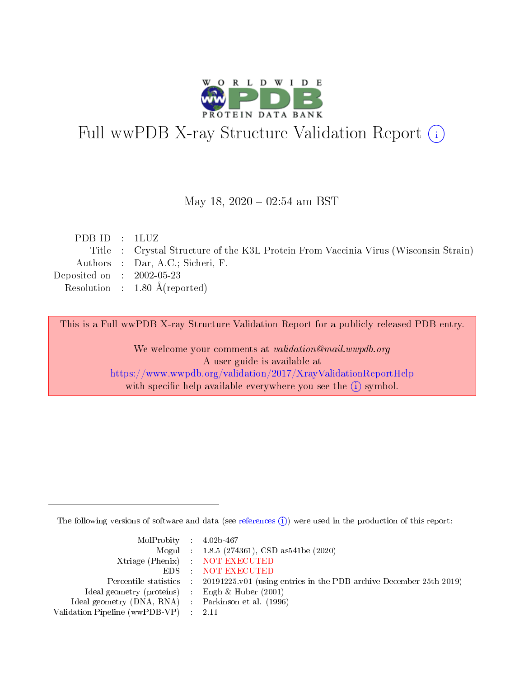

# Full wwPDB X-ray Structure Validation Report (i)

#### May 18,  $2020 - 02:54$  am BST

| PDBID : 1LUZ                |                                                                                     |
|-----------------------------|-------------------------------------------------------------------------------------|
|                             | Title : Crystal Structure of the K3L Protein From Vaccinia Virus (Wisconsin Strain) |
|                             | Authors : Dar, A.C.; Sicheri, F.                                                    |
| Deposited on : $2002-05-23$ |                                                                                     |
|                             | Resolution : $1.80 \text{ Å}$ (reported)                                            |
|                             |                                                                                     |

This is a Full wwPDB X-ray Structure Validation Report for a publicly released PDB entry.

We welcome your comments at validation@mail.wwpdb.org A user guide is available at <https://www.wwpdb.org/validation/2017/XrayValidationReportHelp> with specific help available everywhere you see the  $(i)$  symbol.

The following versions of software and data (see [references](https://www.wwpdb.org/validation/2017/XrayValidationReportHelp#references)  $(i)$ ) were used in the production of this report:

| $MolProbability$ 4.02b-467                          |                                                                                            |
|-----------------------------------------------------|--------------------------------------------------------------------------------------------|
|                                                     | Mogul : $1.8.5$ (274361), CSD as 541be (2020)                                              |
|                                                     | Xtriage (Phenix) NOT EXECUTED                                                              |
|                                                     | EDS NOT EXECUTED                                                                           |
|                                                     | Percentile statistics : 20191225.v01 (using entries in the PDB archive December 25th 2019) |
| Ideal geometry (proteins) :                         | Engh & Huber $(2001)$                                                                      |
| Ideal geometry (DNA, RNA) : Parkinson et al. (1996) |                                                                                            |
| Validation Pipeline (wwPDB-VP)                      | - 2.11                                                                                     |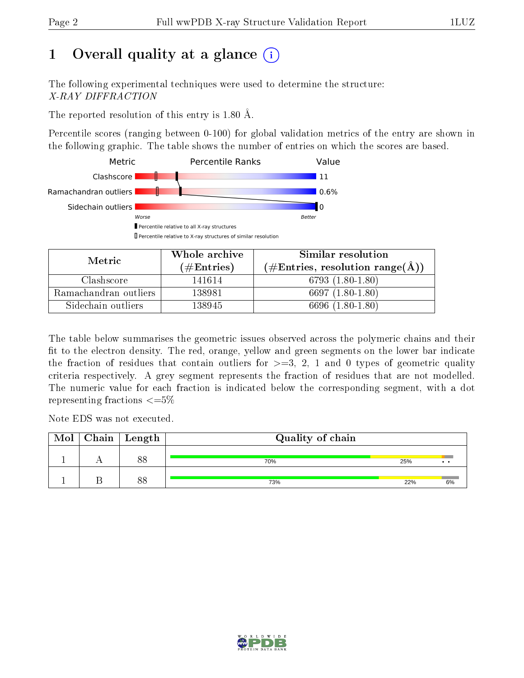# 1 [O](https://www.wwpdb.org/validation/2017/XrayValidationReportHelp#overall_quality)verall quality at a glance  $(i)$

The following experimental techniques were used to determine the structure: X-RAY DIFFRACTION

The reported resolution of this entry is 1.80 Å.

Percentile scores (ranging between 0-100) for global validation metrics of the entry are shown in the following graphic. The table shows the number of entries on which the scores are based.



| Metric                | Whole archive<br>$(\#\text{Entries})$ | Similar resolution<br>$(\#\text{Entries}, \text{resolution range}(\textup{\AA})\)$ |  |
|-----------------------|---------------------------------------|------------------------------------------------------------------------------------|--|
| Clashscore            | 141614                                | 6793 $(1.80-1.80)$                                                                 |  |
| Ramachandran outliers | 138981                                | 6697 $(1.80-1.80)$                                                                 |  |
| Sidechain outliers    | 138945                                | 6696 (1.80-1.80)                                                                   |  |

The table below summarises the geometric issues observed across the polymeric chains and their fit to the electron density. The red, orange, yellow and green segments on the lower bar indicate the fraction of residues that contain outliers for  $\geq=3$ , 2, 1 and 0 types of geometric quality criteria respectively. A grey segment represents the fraction of residues that are not modelled. The numeric value for each fraction is indicated below the corresponding segment, with a dot representing fractions  $\leq=5\%$ 

Note EDS was not executed.

| Mol | $\mid$ Chain $\mid$ Length | Quality of chain |     |    |  |
|-----|----------------------------|------------------|-----|----|--|
|     | 88                         | 70%              | 25% |    |  |
|     | $\circ$                    | 73%              | 22% | 6% |  |

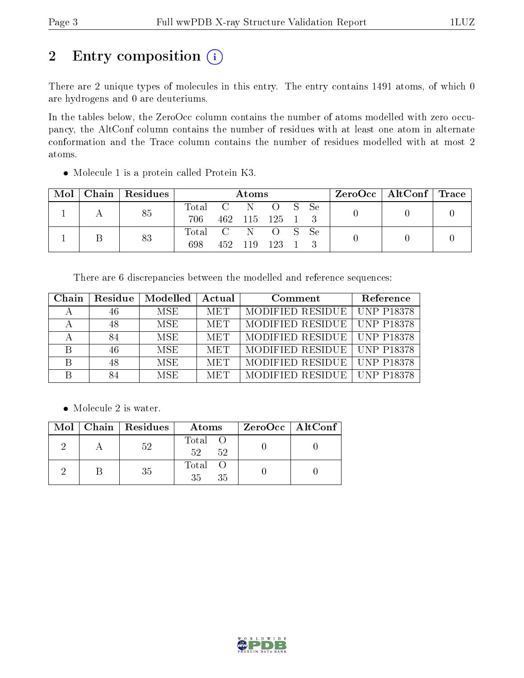# 2 Entry composition (i)

There are 2 unique types of molecules in this entry. The entry contains 1491 atoms, of which 0 are hydrogens and 0 are deuteriums.

In the tables below, the ZeroOcc column contains the number of atoms modelled with zero occupancy, the AltConf column contains the number of residues with at least one atom in alternate conformation and the Trace column contains the number of residues modelled with at most 2 atoms.

| Mol | Chain   Residues | Atoms                   |  |                 |  | $ZeroOcc \mid AltConf \mid Trace$ |  |  |
|-----|------------------|-------------------------|--|-----------------|--|-----------------------------------|--|--|
|     | 85               | Total C N O S Se<br>706 |  | 462 115 125 1 3 |  |                                   |  |  |
|     | 83               | Total C N O S Se<br>698 |  | 452 119 123 1   |  |                                   |  |  |

Molecule 1 is a protein called Protein K3.

There are 6 discrepancies between the modelled and reference sequences:

| Chain | Residue | Modelled   | Actual     | Comment          | Reference         |
|-------|---------|------------|------------|------------------|-------------------|
|       | 46      | MSE.       | <b>MET</b> | MODIFIED RESIDUE | <b>UNP P18378</b> |
|       | 48      | <b>MSE</b> | <b>MET</b> | MODIFIED RESIDUE | <b>UNP P18378</b> |
|       | 84      | <b>MSE</b> | <b>MET</b> | MODIFIED RESIDUE | <b>UNP P18378</b> |
| В     | 46      | <b>MSE</b> | <b>MET</b> | MODIFIED RESIDUE | <b>UNP P18378</b> |
| B     | 48      | MSE.       | <b>MET</b> | MODIFIED RESIDUE | <b>UNP P18378</b> |
|       |         | <b>MSE</b> | <b>MET</b> | MODIFIED RESIDUE | <b>UNP P18378</b> |

• Molecule 2 is water.

|  | $Mol$   Chain   Residues | Atoms                | ZeroOcc   AltConf |
|--|--------------------------|----------------------|-------------------|
|  | 52                       | Total O<br>52<br>-52 |                   |
|  | 35                       | Total O<br>35<br>35  |                   |

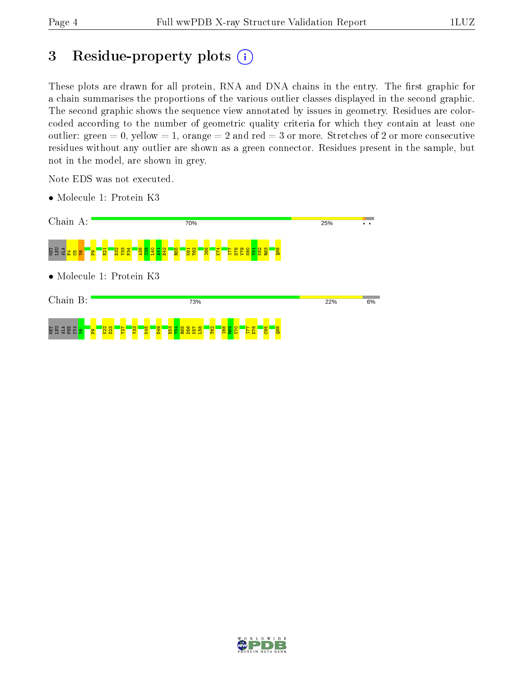# 3 Residue-property plots  $(i)$

These plots are drawn for all protein, RNA and DNA chains in the entry. The first graphic for a chain summarises the proportions of the various outlier classes displayed in the second graphic. The second graphic shows the sequence view annotated by issues in geometry. Residues are colorcoded according to the number of geometric quality criteria for which they contain at least one outlier: green  $= 0$ , yellow  $= 1$ , orange  $= 2$  and red  $= 3$  or more. Stretches of 2 or more consecutive residues without any outlier are shown as a green connector. Residues present in the sample, but not in the model, are shown in grey.

Note EDS was not executed.

- Chain A: 25% 70% <del>∴</del> 현명결<mark>복용</mark> P34  $K$  $\overline{\mathbf{E}}$ D32  $\frac{33}{2}$ A38  $\frac{8}{2}$  $\frac{1}{2}$ A41 E42 R55 K61 T62 I68 I77 D78 V79 N80  $\frac{1}{2}$ K82  $\frac{83}{2}$  $\frac{8}{8}$  $^{\circ}$ • Molecule 1: Protein K3 Chain B: 73% 22% 6% MET ELE<br>MET ELE  $\frac{2}{2}$  $\frac{23}{2}$ Y27  $\frac{2}{3}$ K45  $\frac{9}{2}$  $\frac{3}{2}$  $\frac{4}{154}$ R55 D56  $\frac{1}{9}$  $\frac{8}{2}$ T62 I68  $\frac{1}{2}$  $\mathsf{S}^{\mathsf{I}}$ I77 D78  $\frac{5}{65}$ Q88 $^{\circ}$
- Molecule 1: Protein K3

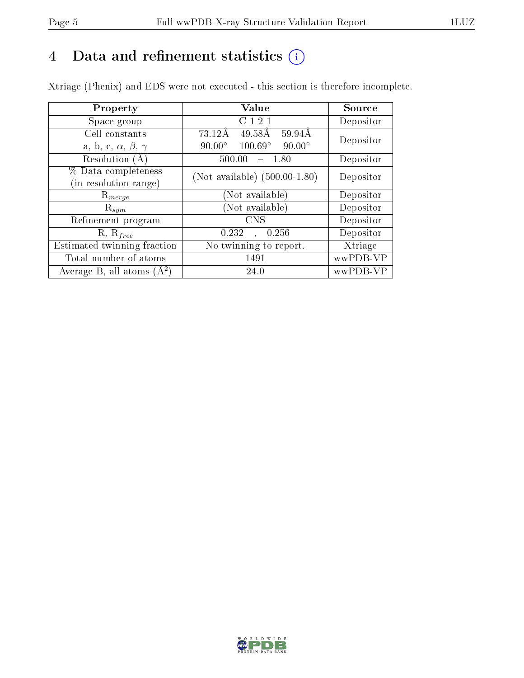# 4 Data and refinement statistics  $(i)$

Xtriage (Phenix) and EDS were not executed - this section is therefore incomplete.

| Property                               | Value                                            | Source    |  |
|----------------------------------------|--------------------------------------------------|-----------|--|
| Space group                            | C121                                             | Depositor |  |
| Cell constants                         | 73.12Å<br>$49.58\text{\AA}$<br>59.94Å            | Depositor |  |
| a, b, c, $\alpha$ , $\beta$ , $\gamma$ | $100.69^\circ$<br>$90.00^\circ$<br>$90.00^\circ$ |           |  |
| Resolution $(A)$                       | 500.00<br>- 1.80                                 | Depositor |  |
| % Data completeness                    | (Not available) $(500.00-1.80)$                  | Depositor |  |
| (in resolution range)                  |                                                  |           |  |
| $\mathrm{R}_{merge}$                   | (Not available)                                  | Depositor |  |
| $\mathrm{R}_{sym}$                     | (Not available)                                  | Depositor |  |
| Refinement program                     | <b>CNS</b>                                       | Depositor |  |
| $R, R_{free}$                          | 0.256<br>0.232<br>$\sim$                         | Depositor |  |
| Estimated twinning fraction            | No twinning to report.                           | Xtriage   |  |
| Total number of atoms                  | 1491                                             | wwPDB-VP  |  |
| Average B, all atoms $(A^2)$           | 24.0                                             | wwPDB-VP  |  |

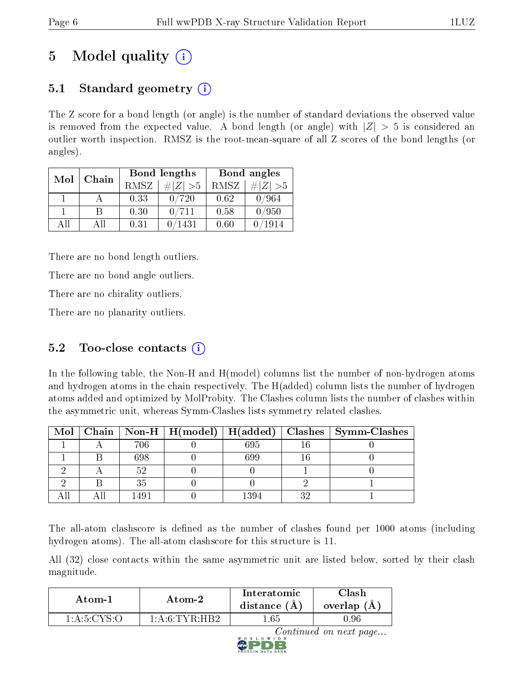# 5 Model quality  $(i)$

# 5.1 Standard geometry (i)

The Z score for a bond length (or angle) is the number of standard deviations the observed value is removed from the expected value. A bond length (or angle) with  $|Z| > 5$  is considered an outlier worth inspection. RMSZ is the root-mean-square of all Z scores of the bond lengths (or angles).

| Mol | Chain |      | Bond lengths                 | Bond angles |                 |
|-----|-------|------|------------------------------|-------------|-----------------|
|     |       | RMSZ | $\vert \# \vert Z \vert > 5$ | RMSZ        | # $ Z  > 5$     |
|     |       | 0.33 | 0/720                        | 0.62        | 0/964           |
|     | В     | 0.30 | 0/711                        | 0.58        | 0/950           |
| AĦ  | Αll   | 0.31 | ′1431                        | 0.60        | $^{\prime}1914$ |

There are no bond length outliers.

There are no bond angle outliers.

There are no chirality outliers.

There are no planarity outliers.

# 5.2 Too-close contacts  $(i)$

In the following table, the Non-H and H(model) columns list the number of non-hydrogen atoms and hydrogen atoms in the chain respectively. The H(added) column lists the number of hydrogen atoms added and optimized by MolProbity. The Clashes column lists the number of clashes within the asymmetric unit, whereas Symm-Clashes lists symmetry related clashes.

|  |      | Mol   Chain   Non-H   H(model)   H(added) |      |    | Clashes   Symm-Clashes |
|--|------|-------------------------------------------|------|----|------------------------|
|  | 706  |                                           | 695  |    |                        |
|  | 698  |                                           | 399  |    |                        |
|  |      |                                           |      |    |                        |
|  | 35   |                                           |      |    |                        |
|  | 1491 |                                           | 1394 | າດ |                        |

The all-atom clashscore is defined as the number of clashes found per 1000 atoms (including hydrogen atoms). The all-atom clashscore for this structure is 11.

All (32) close contacts within the same asymmetric unit are listed below, sorted by their clash magnitude.

| Atom-1<br>Atom-2 |                 | Interatomic<br>distance (A | $\cap$ lash<br>overlap<br>$'$ A |
|------------------|-----------------|----------------------------|---------------------------------|
| 1 A 5 C Y        | $1.4.6$ TVR HR2 | $.65\,$                    |                                 |

Continued on next page...

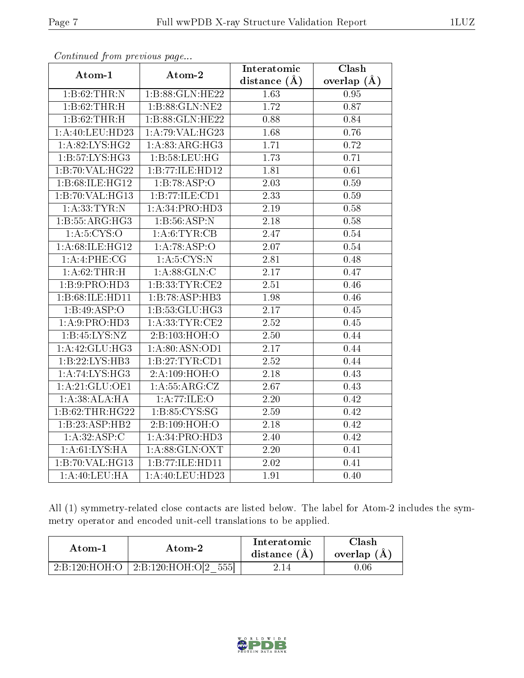| o o heen wow from the process was payar. |                           | Interatomic       | Clash         |
|------------------------------------------|---------------------------|-------------------|---------------|
| Atom-1                                   | Atom-2                    | distance $(\AA)$  | overlap $(A)$ |
| 1: B:62:THR:N                            | 1:B:88:GLN:HE22           | 1.63              | 0.95          |
| 1:B:62:THR:H                             | 1:B:88:GLN:NE2            | 1.72              | 0.87          |
| 1:B:62:THR:H                             | 1:B:88:GLN:HE22           | 0.88              | 0.84          |
| 1:A:40:LEU:HD23                          | 1:A:79:VAL:HG23           | 1.68              | $0.76\,$      |
| 1: A:82: L <sub>YS:H</sub> G2            | 1: A:83:ARG:HG3           | 1.71              | 0.72          |
| 1:B:57:LYS:HG3                           | 1: B:58:LEU:HG            | 1.73              | 0.71          |
| 1:B:70:VAL:HG22                          | 1:B:77:ILE:HD12           | 1.81              | 0.61          |
| 1:B:68:ILE:HG12                          | 1:B:78:ASP:O              | 2.03              | 0.59          |
| 1:B:70:VAL:HG13                          | 1:B:77:ILE:CD1            | 2.33              | 0.59          |
| 1: A: 33: TYR: N                         | 1:A:34:PRO:HD3            | 2.19              | 0.58          |
| 1:B:55:ARG:HG3                           | $1:B:56:A\overline{SP:N}$ | 2.18              | 0.58          |
| 1: A:5:CYS:O                             | 1:A:6:TYR:CB              | 2.47              | 0.54          |
| 1: A:68: ILE: HG12                       | 1:A:78:ASP:O              | 2.07              | 0.54          |
| 1: A:4:PHE:CG                            | 1: A:5: CYS:N             | 2.81              | 0.48          |
| 1:A:62:THR:H                             | 1: A:88: GLN:C            | $2.17\,$          | 0.47          |
| 1:B:9:PRO:H <sub>D3</sub>                | 1:B:33:TYR:CE2            | 2.51              | 0.46          |
| 1:B:68:ILE:HD11                          | 1:B:78:ASP:HB3            | 1.98              | 0.46          |
| 1:B:49:ASP:O                             | 1:B:53:GLU:HG3            | 2.17              | 0.45          |
| 1:A:9:PRO:HD3                            | 1: A:33:TYR:CE2           | 2.52              | $0.45\,$      |
| 1:B:45:LYS:NZ                            | 2:B:103:HOH:O             | 2.50              | 0.44          |
| 1:A:42:GLU:HG3                           | 1:A:80:ASN:OD1            | $\overline{2.17}$ | 0.44          |
| 1:B:22:LYS:HB3                           | 1:B:27:TYR:CD1            | 2.52              | 0.44          |
| 1:A:74:LYS:HG3                           | 2: A:109:HOH:O            | 2.18              | 0.43          |
| 1:A:21:GLU:OE1                           | 1:A:55:ARG:CZ             | 2.67              | 0.43          |
| 1:A:38:ALA:HA                            | 1: A:77: ILE: O           | 2.20              | 0.42          |
| 1:B:62:THR:HG22                          | 1:B:85:CYS:SG             | 2.59              | 0.42          |
| 1:B:23:ASP:HB2                           | 2:B:109:HOH:O             | 2.18              | 0.42          |
| 1:A:32:ASP:C                             | 1:A:34:PRO:HD3            | 2.40              | 0.42          |
| 1: A:61:LYS:HA                           | 1: A:88: GLN: OXT         | 2.20              | 0.41          |
| 1:B:70:VAL:HG13                          | 1:B:77:ILE:HD11           | 2.02              | 0.41          |
| 1: A:40: LEU: HA                         | 1: A:40: LEU:HD23         | 1.91              | 0.40          |

Continued from previous page...

All (1) symmetry-related close contacts are listed below. The label for Atom-2 includes the symmetry operator and encoded unit-cell translations to be applied.

| Atom-1        | Atom-2               | Interatomic<br>distance $(A)$ | Clash<br>overlap $(A)$ |
|---------------|----------------------|-------------------------------|------------------------|
| 2:B:120:HOH:O | 2:B:120:HOH:O[2 555] | 2.14                          | .06                    |

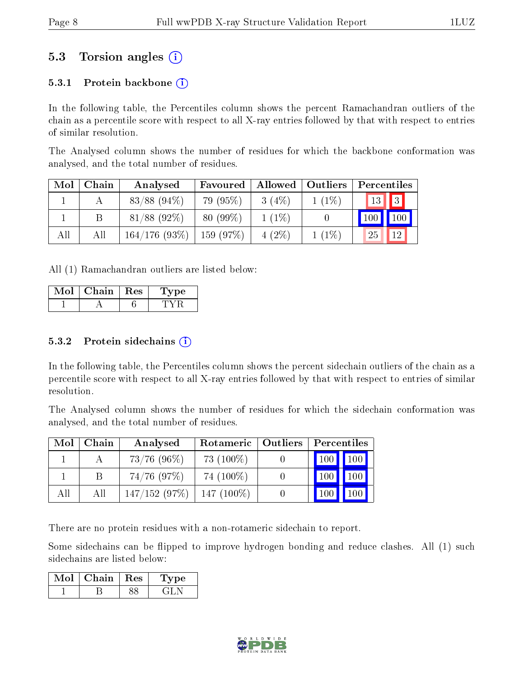# 5.3 Torsion angles (i)

#### 5.3.1 Protein backbone  $(i)$

In the following table, the Percentiles column shows the percent Ramachandran outliers of the chain as a percentile score with respect to all X-ray entries followed by that with respect to entries of similar resolution.

The Analysed column shows the number of residues for which the backbone conformation was analysed, and the total number of residues.

| Mol | Chain | Analysed       | Favoured    | Allowed  | Outliers | Percentiles |
|-----|-------|----------------|-------------|----------|----------|-------------|
|     |       | $83/88$ (94\%) | 79 (95%)    | $3(4\%)$ | $1(1\%)$ | $13$ 3      |
|     |       | $81/88$ (92\%) | $80(99\%)$  | $1(1\%)$ |          | 100<br>100  |
| All | All   | 164/176(93%)   | $159(97\%)$ | $4(2\%)$ | $1(1\%)$ | 12<br>25    |

All (1) Ramachandran outliers are listed below:

| Chain. | <b>Res</b> | Dе |
|--------|------------|----|
|        |            |    |

#### $5.3.2$  Protein sidechains  $(i)$

In the following table, the Percentiles column shows the percent sidechain outliers of the chain as a percentile score with respect to all X-ray entries followed by that with respect to entries of similar resolution.

The Analysed column shows the number of residues for which the sidechain conformation was analysed, and the total number of residues.

| Mol | Chain | Analysed      | Rotameric    | Outliers | Percentiles            |
|-----|-------|---------------|--------------|----------|------------------------|
|     |       | $73/76$ (96%) | 73 $(100\%)$ |          | $100 \mid$<br>$100 \,$ |
|     |       | $74/76$ (97%) | 74 (100\%)   |          | 100<br>100             |
| All | All   | 147/152(97%)  | $147(100\%)$ |          |                        |

There are no protein residues with a non-rotameric sidechain to report.

Some sidechains can be flipped to improve hydrogen bonding and reduce clashes. All (1) such sidechains are listed below:

| Mol | Chain. | $\parallel$ Res | L'vpe |
|-----|--------|-----------------|-------|
|     |        |                 |       |

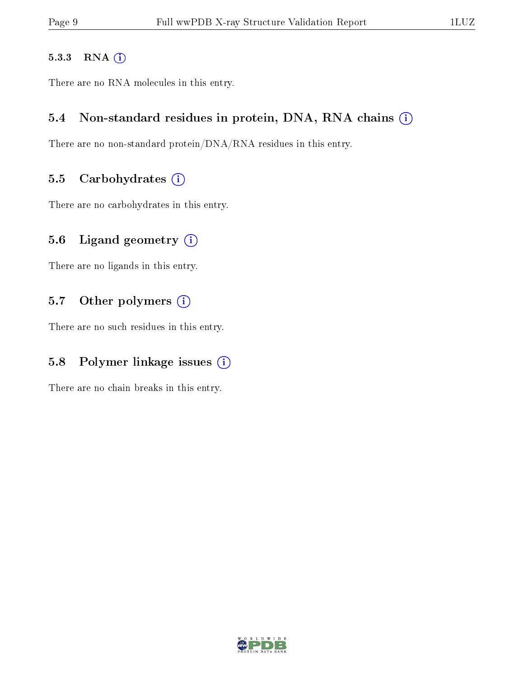#### 5.3.3 RNA [O](https://www.wwpdb.org/validation/2017/XrayValidationReportHelp#rna)i

There are no RNA molecules in this entry.

### 5.4 Non-standard residues in protein, DNA, RNA chains (i)

There are no non-standard protein/DNA/RNA residues in this entry.

#### 5.5 Carbohydrates  $(i)$

There are no carbohydrates in this entry.

### 5.6 Ligand geometry  $(i)$

There are no ligands in this entry.

### 5.7 [O](https://www.wwpdb.org/validation/2017/XrayValidationReportHelp#nonstandard_residues_and_ligands)ther polymers (i)

There are no such residues in this entry.

# 5.8 Polymer linkage issues  $(i)$

There are no chain breaks in this entry.